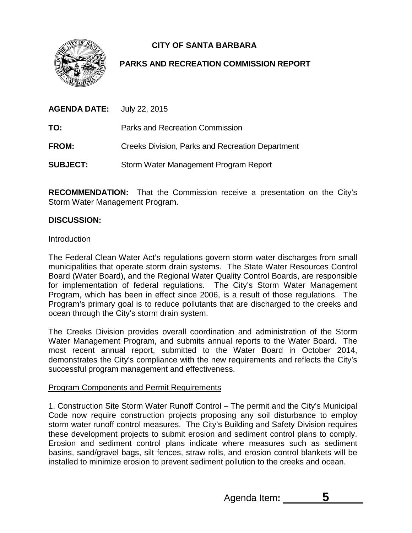**CITY OF SANTA BARBARA**



# **PARKS AND RECREATION COMMISSION REPORT**

| <b>AGENDA DATE:</b> | July 22, 2015                                           |
|---------------------|---------------------------------------------------------|
| TO:                 | Parks and Recreation Commission                         |
| <b>FROM:</b>        | <b>Creeks Division, Parks and Recreation Department</b> |
| <b>SUBJECT:</b>     | Storm Water Management Program Report                   |

**RECOMMENDATION:** That the Commission receive a presentation on the City's Storm Water Management Program.

## **DISCUSSION:**

#### Introduction

The Federal Clean Water Act's regulations govern storm water discharges from small municipalities that operate storm drain systems. The State Water Resources Control Board (Water Board), and the Regional Water Quality Control Boards, are responsible for implementation of federal regulations. The City's Storm Water Management Program, which has been in effect since 2006, is a result of those regulations. The Program's primary goal is to reduce pollutants that are discharged to the creeks and ocean through the City's storm drain system.

The Creeks Division provides overall coordination and administration of the Storm Water Management Program, and submits annual reports to the Water Board. The most recent annual report, submitted to the Water Board in October 2014, demonstrates the City's compliance with the new requirements and reflects the City's successful program management and effectiveness.

### Program Components and Permit Requirements

1. Construction Site Storm Water Runoff Control – The permit and the City's Municipal Code now require construction projects proposing any soil disturbance to employ storm water runoff control measures. The City's Building and Safety Division requires these development projects to submit erosion and sediment control plans to comply. Erosion and sediment control plans indicate where measures such as sediment basins, sand/gravel bags, silt fences, straw rolls, and erosion control blankets will be installed to minimize erosion to prevent sediment pollution to the creeks and ocean.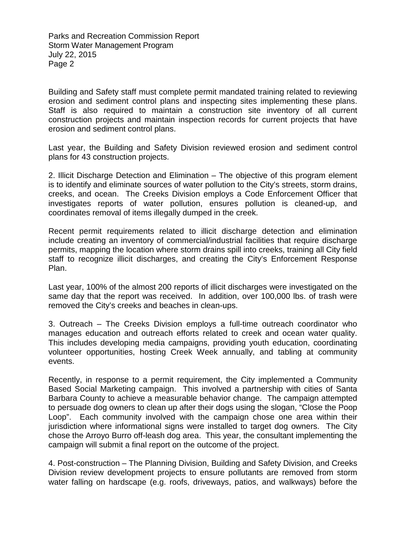Parks and Recreation Commission Report Storm Water Management Program July 22, 2015 Page 2

Building and Safety staff must complete permit mandated training related to reviewing erosion and sediment control plans and inspecting sites implementing these plans. Staff is also required to maintain a construction site inventory of all current construction projects and maintain inspection records for current projects that have erosion and sediment control plans.

Last year, the Building and Safety Division reviewed erosion and sediment control plans for 43 construction projects.

2. Illicit Discharge Detection and Elimination – The objective of this program element is to identify and eliminate sources of water pollution to the City's streets, storm drains, creeks, and ocean. The Creeks Division employs a Code Enforcement Officer that investigates reports of water pollution, ensures pollution is cleaned-up, and coordinates removal of items illegally dumped in the creek.

Recent permit requirements related to illicit discharge detection and elimination include creating an inventory of commercial/industrial facilities that require discharge permits, mapping the location where storm drains spill into creeks, training all City field staff to recognize illicit discharges, and creating the City's Enforcement Response Plan.

Last year, 100% of the almost 200 reports of illicit discharges were investigated on the same day that the report was received. In addition, over 100,000 lbs. of trash were removed the City's creeks and beaches in clean-ups.

3. Outreach – The Creeks Division employs a full-time outreach coordinator who manages education and outreach efforts related to creek and ocean water quality. This includes developing media campaigns, providing youth education, coordinating volunteer opportunities, hosting Creek Week annually, and tabling at community events.

Recently, in response to a permit requirement, the City implemented a Community Based Social Marketing campaign. This involved a partnership with cities of Santa Barbara County to achieve a measurable behavior change. The campaign attempted to persuade dog owners to clean up after their dogs using the slogan, "Close the Poop Loop". Each community involved with the campaign chose one area within their jurisdiction where informational signs were installed to target dog owners. The City chose the Arroyo Burro off-leash dog area. This year, the consultant implementing the campaign will submit a final report on the outcome of the project.

4. Post-construction – The Planning Division, Building and Safety Division, and Creeks Division review development projects to ensure pollutants are removed from storm water falling on hardscape (e.g. roofs, driveways, patios, and walkways) before the